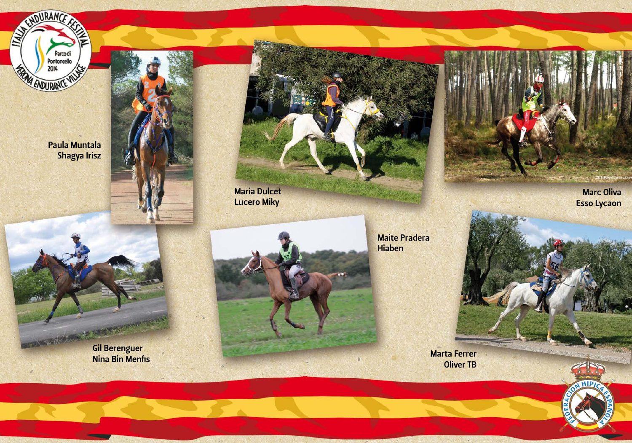

Paula Muntala Shagya Irisz

REPARTMENT





**Lucero Miky** 



**Maite Pradera Hiaben** 

**Marc Oliva Esso Lycaon** 

Marta Ferrer **Oliver TB** 



Gil Berenguer<br>Nina Bin Menfis